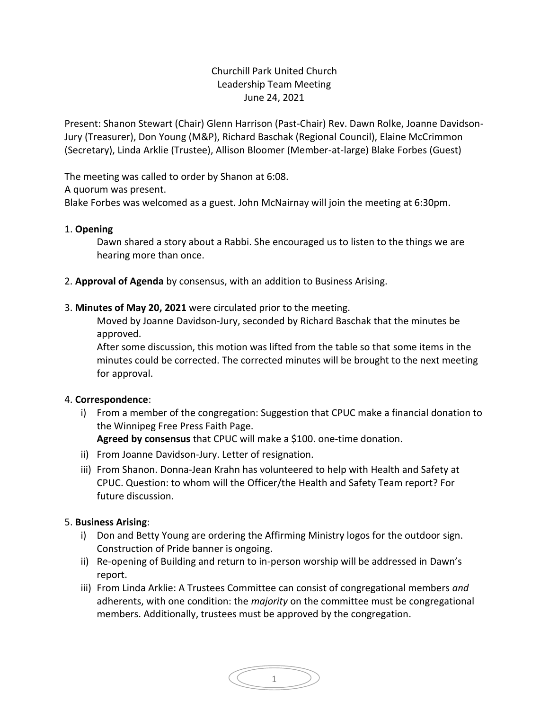# Churchill Park United Church Leadership Team Meeting June 24, 2021

Present: Shanon Stewart (Chair) Glenn Harrison (Past-Chair) Rev. Dawn Rolke, Joanne Davidson-Jury (Treasurer), Don Young (M&P), Richard Baschak (Regional Council), Elaine McCrimmon (Secretary), Linda Arklie (Trustee), Allison Bloomer (Member-at-large) Blake Forbes (Guest)

The meeting was called to order by Shanon at 6:08.

A quorum was present.

Blake Forbes was welcomed as a guest. John McNairnay will join the meeting at 6:30pm.

#### 1. **Opening**

Dawn shared a story about a Rabbi. She encouraged us to listen to the things we are hearing more than once.

- 2. **Approval of Agenda** by consensus, with an addition to Business Arising.
- 3. **Minutes of May 20, 2021** were circulated prior to the meeting.

Moved by Joanne Davidson-Jury, seconded by Richard Baschak that the minutes be approved.

After some discussion, this motion was lifted from the table so that some items in the minutes could be corrected. The corrected minutes will be brought to the next meeting for approval.

## 4. **Correspondence**:

i) From a member of the congregation: Suggestion that CPUC make a financial donation to the Winnipeg Free Press Faith Page.

**Agreed by consensus** that CPUC will make a \$100. one-time donation.

- ii) From Joanne Davidson-Jury. Letter of resignation.
- iii) From Shanon. Donna-Jean Krahn has volunteered to help with Health and Safety at CPUC. Question: to whom will the Officer/the Health and Safety Team report? For future discussion.

## 5. **Business Arising**:

- i) Don and Betty Young are ordering the Affirming Ministry logos for the outdoor sign. Construction of Pride banner is ongoing.
- ii) Re-opening of Building and return to in-person worship will be addressed in Dawn's report.
- iii) From Linda Arklie: A Trustees Committee can consist of congregational members *and* adherents, with one condition: the *majority* on the committee must be congregational members. Additionally, trustees must be approved by the congregation.

1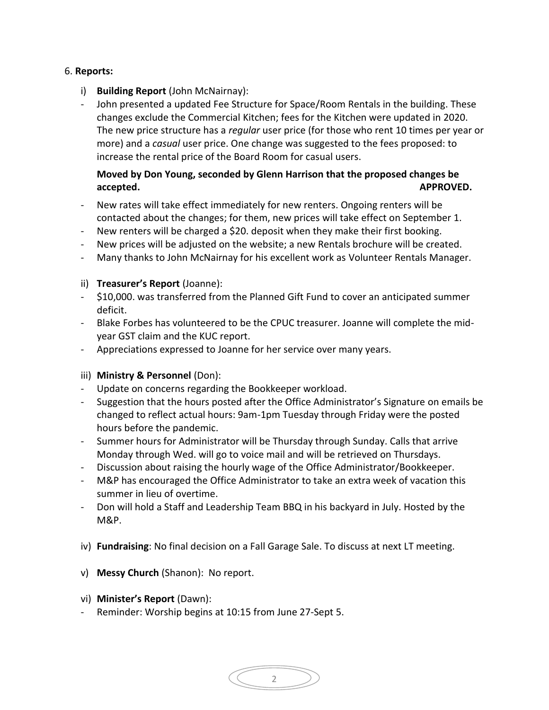## 6. **Reports:**

- i) **Building Report** (John McNairnay):
- John presented a updated Fee Structure for Space/Room Rentals in the building. These changes exclude the Commercial Kitchen; fees for the Kitchen were updated in 2020. The new price structure has a *regular* user price (for those who rent 10 times per year or more) and a *casual* user price. One change was suggested to the fees proposed: to increase the rental price of the Board Room for casual users.

# **Moved by Don Young, seconded by Glenn Harrison that the proposed changes be accepted. APPROVED.**

- New rates will take effect immediately for new renters. Ongoing renters will be contacted about the changes; for them, new prices will take effect on September 1.
- New renters will be charged a \$20. deposit when they make their first booking.
- New prices will be adjusted on the website; a new Rentals brochure will be created.
- Many thanks to John McNairnay for his excellent work as Volunteer Rentals Manager.

#### ii) **Treasurer's Report** (Joanne):

- \$10,000. was transferred from the Planned Gift Fund to cover an anticipated summer deficit.
- Blake Forbes has volunteered to be the CPUC treasurer. Joanne will complete the midyear GST claim and the KUC report.
- Appreciations expressed to Joanne for her service over many years.

#### iii) **Ministry & Personnel** (Don):

- Update on concerns regarding the Bookkeeper workload.
- Suggestion that the hours posted after the Office Administrator's Signature on emails be changed to reflect actual hours: 9am-1pm Tuesday through Friday were the posted hours before the pandemic.
- Summer hours for Administrator will be Thursday through Sunday. Calls that arrive Monday through Wed. will go to voice mail and will be retrieved on Thursdays.
- Discussion about raising the hourly wage of the Office Administrator/Bookkeeper.
- M&P has encouraged the Office Administrator to take an extra week of vacation this summer in lieu of overtime.
- Don will hold a Staff and Leadership Team BBQ in his backyard in July. Hosted by the M&P.
- iv) **Fundraising**: No final decision on a Fall Garage Sale. To discuss at next LT meeting.

2

- v) **Messy Church** (Shanon): No report.
- vi) **Minister's Report** (Dawn):
- Reminder: Worship begins at 10:15 from June 27-Sept 5.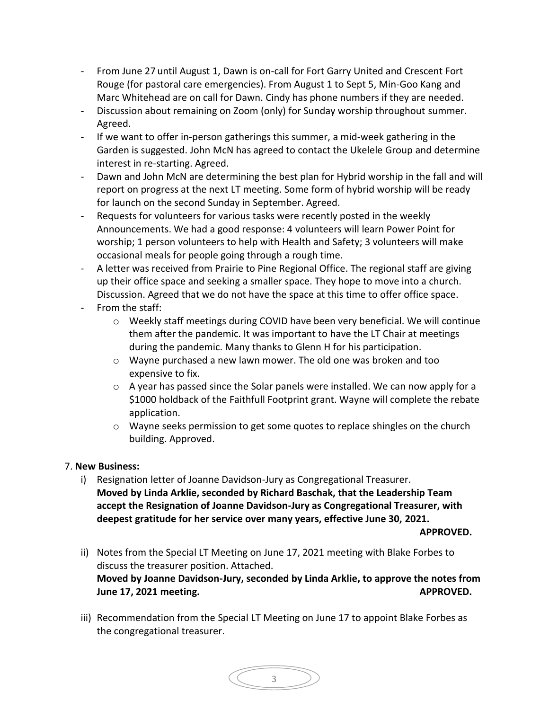- From June 27 until August 1, Dawn is on-call for Fort Garry United and Crescent Fort Rouge (for pastoral care emergencies). From August 1 to Sept 5, Min-Goo Kang and Marc Whitehead are on call for Dawn. Cindy has phone numbers if they are needed.
- Discussion about remaining on Zoom (only) for Sunday worship throughout summer. Agreed.
- If we want to offer in-person gatherings this summer, a mid-week gathering in the Garden is suggested. John McN has agreed to contact the Ukelele Group and determine interest in re-starting. Agreed.
- Dawn and John McN are determining the best plan for Hybrid worship in the fall and will report on progress at the next LT meeting. Some form of hybrid worship will be ready for launch on the second Sunday in September. Agreed.
- Requests for volunteers for various tasks were recently posted in the weekly Announcements. We had a good response: 4 volunteers will learn Power Point for worship; 1 person volunteers to help with Health and Safety; 3 volunteers will make occasional meals for people going through a rough time.
- A letter was received from Prairie to Pine Regional Office. The regional staff are giving up their office space and seeking a smaller space. They hope to move into a church. Discussion. Agreed that we do not have the space at this time to offer office space.
- From the staff:
	- o Weekly staff meetings during COVID have been very beneficial. We will continue them after the pandemic. It was important to have the LT Chair at meetings during the pandemic. Many thanks to Glenn H for his participation.
	- o Wayne purchased a new lawn mower. The old one was broken and too expensive to fix.
	- $\circ$  A year has passed since the Solar panels were installed. We can now apply for a \$1000 holdback of the Faithfull Footprint grant. Wayne will complete the rebate application.
	- o Wayne seeks permission to get some quotes to replace shingles on the church building. Approved.

## 7. **New Business:**

i) Resignation letter of Joanne Davidson-Jury as Congregational Treasurer. **Moved by Linda Arklie, seconded by Richard Baschak, that the Leadership Team accept the Resignation of Joanne Davidson-Jury as Congregational Treasurer, with deepest gratitude for her service over many years, effective June 30, 2021.** 

**APPROVED.**

- ii) Notes from the Special LT Meeting on June 17, 2021 meeting with Blake Forbes to discuss the treasurer position. Attached. **Moved by Joanne Davidson-Jury, seconded by Linda Arklie, to approve the notes from June 17, 2021 meeting.** APPROVED.
- iii) Recommendation from the Special LT Meeting on June 17 to appoint Blake Forbes as the congregational treasurer.